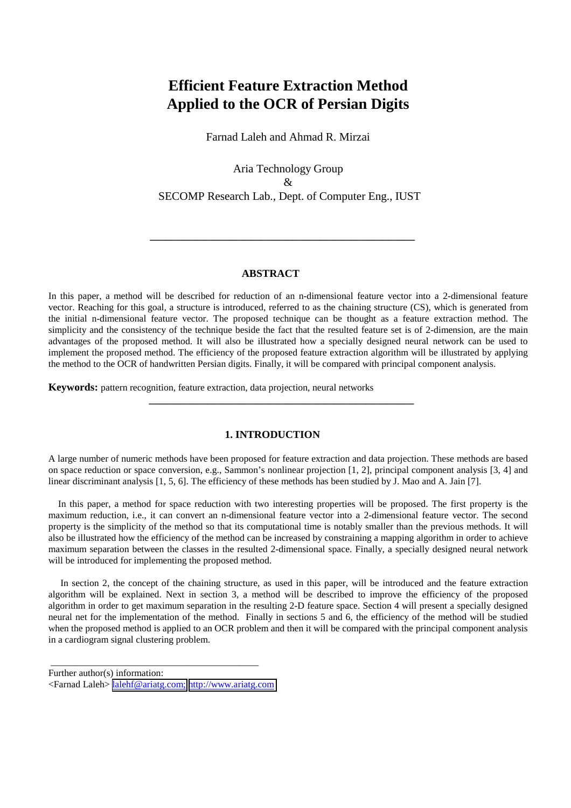# **Efficient Feature Extraction Method Applied to the OCR of Persian Digits**

Farnad Laleh and Ahmad R. Mirzai

Aria Technology Group & SECOMP Research Lab., Dept. of Computer Eng., IUST

# **ABSTRACT**

**\_\_\_\_\_\_\_\_\_\_\_\_\_\_\_\_\_\_\_\_\_\_\_\_\_\_\_\_\_\_\_\_\_\_\_\_\_\_\_\_\_\_\_\_\_\_\_\_\_\_**

In this paper, a method will be described for reduction of an n-dimensional feature vector into a 2-dimensional feature vector. Reaching for this goal, a structure is introduced, referred to as the chaining structure (CS), which is generated from the initial n-dimensional feature vector. The proposed technique can be thought as a feature extraction method. The simplicity and the consistency of the technique beside the fact that the resulted feature set is of 2-dimension, are the main advantages of the proposed method. It will also be illustrated how a specially designed neural network can be used to implement the proposed method. The efficiency of the proposed feature extraction algorithm will be illustrated by applying the method to the OCR of handwritten Persian digits. Finally, it will be compared with principal component analysis.

**Keywords:** pattern recognition, feature extraction, data projection, neural networks

 **\_\_\_\_\_\_\_\_\_\_\_\_\_\_\_\_\_\_\_\_\_\_\_\_\_\_\_\_\_\_\_\_\_\_\_\_\_\_\_\_\_\_\_\_\_\_\_\_\_\_**

# **1. INTRODUCTION**

A large number of numeric methods have been proposed for feature extraction and data projection. These methods are based on space reduction or space conversion, e.g., Sammon's nonlinear projection [1, 2], principal component analysis [3, 4] and linear discriminant analysis [1, 5, 6]. The efficiency of these methods has been studied by J. Mao and A. Jain [7].

 In this paper, a method for space reduction with two interesting properties will be proposed. The first property is the maximum reduction, i.e., it can convert an n-dimensional feature vector into a 2-dimensional feature vector. The second property is the simplicity of the method so that its computational time is notably smaller than the previous methods. It will also be illustrated how the efficiency of the method can be increased by constraining a mapping algorithm in order to achieve maximum separation between the classes in the resulted 2-dimensional space. Finally, a specially designed neural network will be introduced for implementing the proposed method.

 In section 2, the concept of the chaining structure, as used in this paper, will be introduced and the feature extraction algorithm will be explained. Next in section 3, a method will be described to improve the efficiency of the proposed algorithm in order to get maximum separation in the resulting 2-D feature space. Section 4 will present a specially designed neural net for the implementation of the method. Finally in sections 5 and 6, the efficiency of the method will be studied when the proposed method is applied to an OCR problem and then it will be compared with the principal component analysis in a cardiogram signal clustering problem.

Further author(s) information:

<Farnad Laleh> [lalehf@ariatg.com;](mailto:lalehf@ariatg.com;) [http://www.ariatg.com](http://www.ariatg.com/)

\_\_\_\_\_\_\_\_\_\_\_\_\_\_\_\_\_\_\_\_\_\_\_\_\_\_\_\_\_\_\_\_\_\_\_\_\_\_\_\_\_\_\_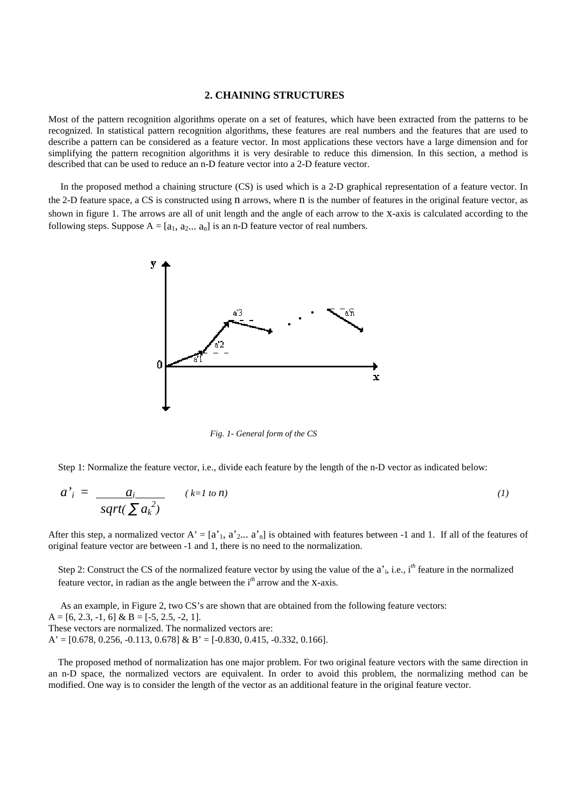#### **2. CHAINING STRUCTURES**

Most of the pattern recognition algorithms operate on a set of features, which have been extracted from the patterns to be recognized. In statistical pattern recognition algorithms, these features are real numbers and the features that are used to describe a pattern can be considered as a feature vector. In most applications these vectors have a large dimension and for simplifying the pattern recognition algorithms it is very desirable to reduce this dimension. In this section, a method is described that can be used to reduce an n-D feature vector into a 2-D feature vector.

 In the proposed method a chaining structure (CS) is used which is a 2-D graphical representation of a feature vector. In the 2-D feature space, a CS is constructed using n arrows, where n is the number of features in the original feature vector, as shown in figure 1. The arrows are all of unit length and the angle of each arrow to the x-axis is calculated according to the following steps. Suppose  $A = [a_1, a_2... a_n]$  is an n-D feature vector of real numbers.



*Fig. 1- General form of the CS*

Step 1: Normalize the feature vector, i.e., divide each feature by the length of the n-D vector as indicated below:

$$
a'_{i} = \frac{a_{i}}{sqrt(\sum a_{k}^{2})}
$$
 (k=1 to n) (1)

After this step, a normalized vector  $A' = [a'_1, a'_2... a'_n]$  is obtained with features between -1 and 1. If all of the features of original feature vector are between -1 and 1, there is no need to the normalization.

Step 2: Construct the CS of the normalized feature vector by using the value of the a'<sub>i</sub>, i.e., i<sup>th</sup> feature in the normalized feature vector, in radian as the angle between the i*th* arrow and the x-axis.

 As an example, in Figure 2, two CS's are shown that are obtained from the following feature vectors:  $A = \{6, 2.3, -1, 6\} \& B = \{5, 2.5, -2, 1\}.$ These vectors are normalized. The normalized vectors are:  $A' = [0.678, 0.256, -0.113, 0.678]$  & B' = [-0.830, 0.415, -0.332, 0.166].

 The proposed method of normalization has one major problem. For two original feature vectors with the same direction in an n-D space, the normalized vectors are equivalent. In order to avoid this problem, the normalizing method can be modified. One way is to consider the length of the vector as an additional feature in the original feature vector.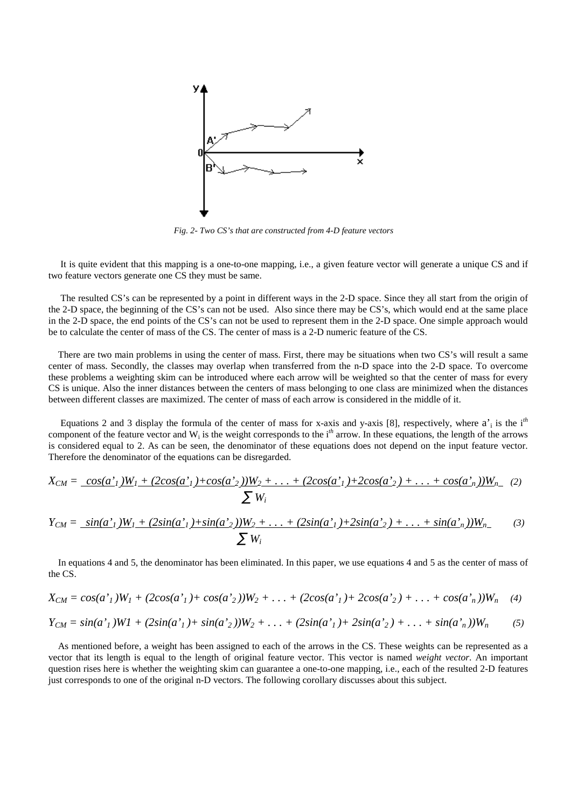

*Fig. 2- Two CS's that are constructed from 4-D feature vectors*

 It is quite evident that this mapping is a one-to-one mapping, i.e., a given feature vector will generate a unique CS and if two feature vectors generate one CS they must be same.

 The resulted CS's can be represented by a point in different ways in the 2-D space. Since they all start from the origin of the 2-D space, the beginning of the CS's can not be used. Also since there may be CS's, which would end at the same place in the 2-D space, the end points of the CS's can not be used to represent them in the 2-D space. One simple approach would be to calculate the center of mass of the CS. The center of mass is a 2-D numeric feature of the CS.

 There are two main problems in using the center of mass. First, there may be situations when two CS's will result a same center of mass. Secondly, the classes may overlap when transferred from the n-D space into the 2-D space. To overcome these problems a weighting skim can be introduced where each arrow will be weighted so that the center of mass for every CS is unique. Also the inner distances between the centers of mass belonging to one class are minimized when the distances between different classes are maximized. The center of mass of each arrow is considered in the middle of it.

 Equations 2 and 3 display the formula of the center of mass for x-axis and y-axis [8], respectively, where a'i is the i*th* component of the feature vector and Wi is the weight corresponds to the i*th* arrow. In these equations, the length of the arrows is considered equal to 2. As can be seen, the denominator of these equations does not depend on the input feature vector. Therefore the denominator of the equations can be disregarded.

$$
X_{CM} = \frac{cos(a^2)}{yW_1 + (2cos(a^2)} + cos(a^2))W_2 + \ldots + (2cos(a^2)}{2W_1} + 2cos(a^2) + \ldots + cos(a^2))W_n
$$
 (2)

$$
Y_{CM} = \frac{\sin(a'_{1})W_{1} + (2\sin(a'_{1}) + \sin(a'_{2}))W_{2} + \ldots + (2\sin(a'_{1}) + 2\sin(a'_{2}) + \ldots + \sin(a'_{n}))W_{n}}{\sum W_{i}}
$$
(3)

 In equations 4 and 5, the denominator has been eliminated. In this paper, we use equations 4 and 5 as the center of mass of the CS.

$$
X_{CM} = cos(a'_1)W_1 + (2cos(a'_1) + cos(a'_2))W_2 + ... + (2cos(a'_1) + 2cos(a'_2) + ... + cos(a'_n))W_n
$$
 (4)

$$
Y_{CM} = \sin(a'_{1})WI + (2\sin(a'_{1}) + \sin(a'_{2}))W_{2} + ... + (2\sin(a'_{1}) + 2\sin(a'_{2}) + ... + \sin(a'_{n}))W_{n}
$$
 (5)

 As mentioned before, a weight has been assigned to each of the arrows in the CS. These weights can be represented as a vector that its length is equal to the length of original feature vector. This vector is named *weight vector*. An important question rises here is whether the weighting skim can guarantee a one-to-one mapping, i.e., each of the resulted 2-D features just corresponds to one of the original n-D vectors. The following corollary discusses about this subject.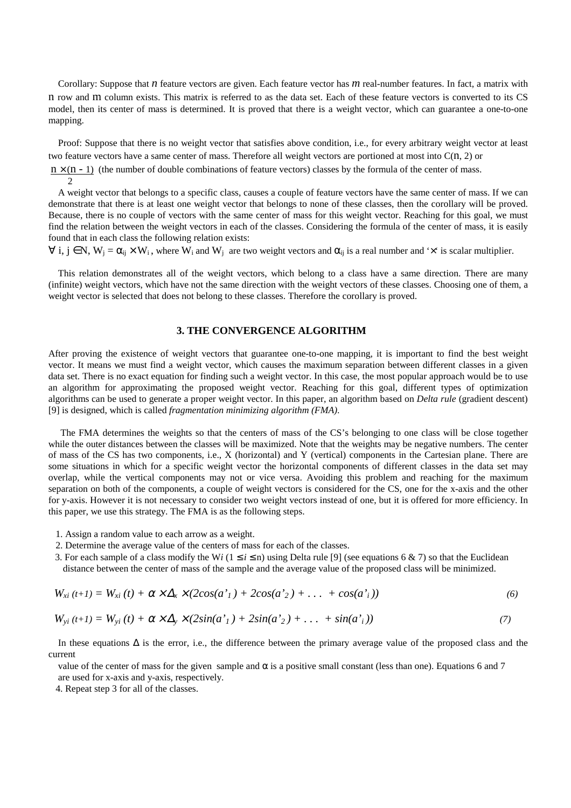Corollary: Suppose that *n* feature vectors are given. Each feature vector has *m* real-number features. In fact, a matrix with n row and m column exists. This matrix is referred to as the data set. Each of these feature vectors is converted to its CS model, then its center of mass is determined. It is proved that there is a weight vector, which can guarantee a one-to-one mapping.

 Proof: Suppose that there is no weight vector that satisfies above condition, i.e., for every arbitrary weight vector at least two feature vectors have a same center of mass. Therefore all weight vectors are portioned at most into C(n, 2) or

 $n \times (n - 1)$  (the number of double combinations of feature vectors) classes by the formula of the center of mass.

2

 A weight vector that belongs to a specific class, causes a couple of feature vectors have the same center of mass. If we can demonstrate that there is at least one weight vector that belongs to none of these classes, then the corollary will be proved. Because, there is no couple of vectors with the same center of mass for this weight vector. Reaching for this goal, we must find the relation between the weight vectors in each of the classes. Considering the formula of the center of mass, it is easily found that in each class the following relation exists:

 $\forall$  i,  $j \in N$ ,  $W_i = \alpha_{ij} \times W_i$ , where  $W_i$  and  $W_j$  are two weight vectors and  $\alpha_{ij}$  is a real number and ' $\times$ ' is scalar multiplier.

 This relation demonstrates all of the weight vectors, which belong to a class have a same direction. There are many (infinite) weight vectors, which have not the same direction with the weight vectors of these classes. Choosing one of them, a weight vector is selected that does not belong to these classes. Therefore the corollary is proved.

#### **3. THE CONVERGENCE ALGORITHM**

After proving the existence of weight vectors that guarantee one-to-one mapping, it is important to find the best weight vector. It means we must find a weight vector, which causes the maximum separation between different classes in a given data set. There is no exact equation for finding such a weight vector. In this case, the most popular approach would be to use an algorithm for approximating the proposed weight vector. Reaching for this goal, different types of optimization algorithms can be used to generate a proper weight vector. In this paper, an algorithm based on *Delta rule* (gradient descent) [9] is designed, which is called *fragmentation minimizing algorithm (FMA)*.

 The FMA determines the weights so that the centers of mass of the CS's belonging to one class will be close together while the outer distances between the classes will be maximized. Note that the weights may be negative numbers. The center of mass of the CS has two components, i.e., X (horizontal) and Y (vertical) components in the Cartesian plane. There are some situations in which for a specific weight vector the horizontal components of different classes in the data set may overlap, while the vertical components may not or vice versa. Avoiding this problem and reaching for the maximum separation on both of the components, a couple of weight vectors is considered for the CS, one for the x-axis and the other for y-axis. However it is not necessary to consider two weight vectors instead of one, but it is offered for more efficiency. In this paper, we use this strategy. The FMA is as the following steps.

- 1. Assign a random value to each arrow as a weight.
- 2. Determine the average value of the centers of mass for each of the classes.
- 3. For each sample of a class modify the W*i* ( $1 \le i \le n$ ) using Delta rule [9] (see equations 6 & 7) so that the Euclidean distance between the center of mass of the sample and the average value of the proposed class will be minimized.

$$
W_{xi}(t+1) = W_{xi}(t) + \alpha \times \Delta_x \times (2\cos(a') + 2\cos(a'_{2}) + \ldots + \cos(a')_{t})
$$
\n
$$
(6)
$$

$$
W_{yi}(t+1) = W_{yi}(t) + \alpha \times \Delta_y \times (2\sin(a') + 2\sin(a') + \dots + \sin(a')) \tag{7}
$$

In these equations  $\Delta$  is the error, i.e., the difference between the primary average value of the proposed class and the current

value of the center of mass for the given sample and  $\alpha$  is a positive small constant (less than one). Equations 6 and 7 are used for x-axis and y-axis, respectively.

4. Repeat step 3 for all of the classes.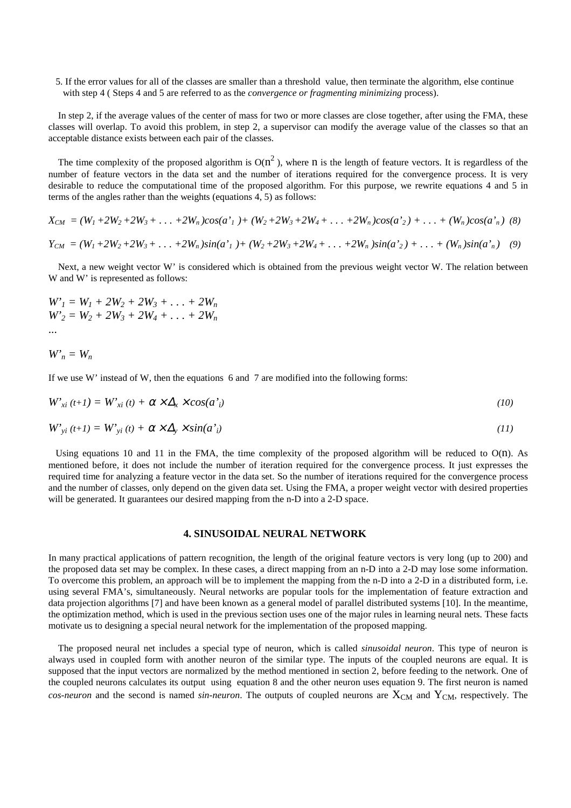5. If the error values for all of the classes are smaller than a threshold value, then terminate the algorithm, else continue with step 4 ( Steps 4 and 5 are referred to as the *convergence or fragmenting minimizing* process).

In step 2, if the average values of the center of mass for two or more classes are close together, after using the FMA, these classes will overlap. To avoid this problem, in step 2, a supervisor can modify the average value of the classes so that an acceptable distance exists between each pair of the classes.

The time complexity of the proposed algorithm is  $O(n^2)$ , where n is the length of feature vectors. It is regardless of the number of feature vectors in the data set and the number of iterations required for the convergence process. It is very desirable to reduce the computational time of the proposed algorithm. For this purpose, we rewrite equations 4 and 5 in terms of the angles rather than the weights (equations 4, 5) as follows:

$$
X_{CM} = (W_1 + 2W_2 + 2W_3 + \dots + 2W_n)\cos(a') + (W_2 + 2W_3 + 2W_4 + \dots + 2W_n)\cos(a') + \dots + (W_n)\cos(a'_n)
$$
 (8)  

$$
Y_{CM} = (W_1 + 2W_2 + 2W_3 + \dots + 2W_n)\sin(a') + (W_2 + 2W_3 + 2W_4 + \dots + 2W_n)\sin(a') + \dots + (W_n)\sin(a'_n)
$$
 (9)

 Next, a new weight vector W' is considered which is obtained from the previous weight vector W. The relation between W and W' is represented as follows:

 $W'_1 = W_1 + 2W_2 + 2W_3 + \ldots + 2W_n$  $W'_2 = W_2 + 2W_3 + 2W_4 + \ldots + 2W_n$ ...

$$
W'_n=W_n
$$

If we use W' instead of W, then the equations 6 and 7 are modified into the following forms:

$$
W'_{xi}(t+1) = W'_{xi}(t) + \alpha \times \Delta_x \times \cos(a') \tag{10}
$$

$$
W'_{\mathbf{y}i}(t+1) = W'_{\mathbf{y}i}(t) + \alpha \times \Delta_{\mathbf{y}} \times \sin(a'_{i})
$$
\n<sup>(11)</sup>

Using equations 10 and 11 in the FMA, the time complexity of the proposed algorithm will be reduced to  $O(n)$ . As mentioned before, it does not include the number of iteration required for the convergence process. It just expresses the required time for analyzing a feature vector in the data set. So the number of iterations required for the convergence process and the number of classes, only depend on the given data set. Using the FMA, a proper weight vector with desired properties will be generated. It guarantees our desired mapping from the n-D into a 2-D space.

# **4. SINUSOIDAL NEURAL NETWORK**

In many practical applications of pattern recognition, the length of the original feature vectors is very long (up to 200) and the proposed data set may be complex. In these cases, a direct mapping from an n-D into a 2-D may lose some information. To overcome this problem, an approach will be to implement the mapping from the n-D into a 2-D in a distributed form, i.e. using several FMA's, simultaneously. Neural networks are popular tools for the implementation of feature extraction and data projection algorithms [7] and have been known as a general model of parallel distributed systems [10]. In the meantime, the optimization method, which is used in the previous section uses one of the major rules in learning neural nets. These facts motivate us to designing a special neural network for the implementation of the proposed mapping.

 The proposed neural net includes a special type of neuron, which is called *sinusoidal neuron*. This type of neuron is always used in coupled form with another neuron of the similar type. The inputs of the coupled neurons are equal. It is supposed that the input vectors are normalized by the method mentioned in section 2, before feeding to the network. One of the coupled neurons calculates its output using equation 8 and the other neuron uses equation 9. The first neuron is named  $cos$ -neuron and the second is named  $sin$ -neuron. The outputs of coupled neurons are  $X_{CM}$  and  $Y_{CM}$ , respectively. The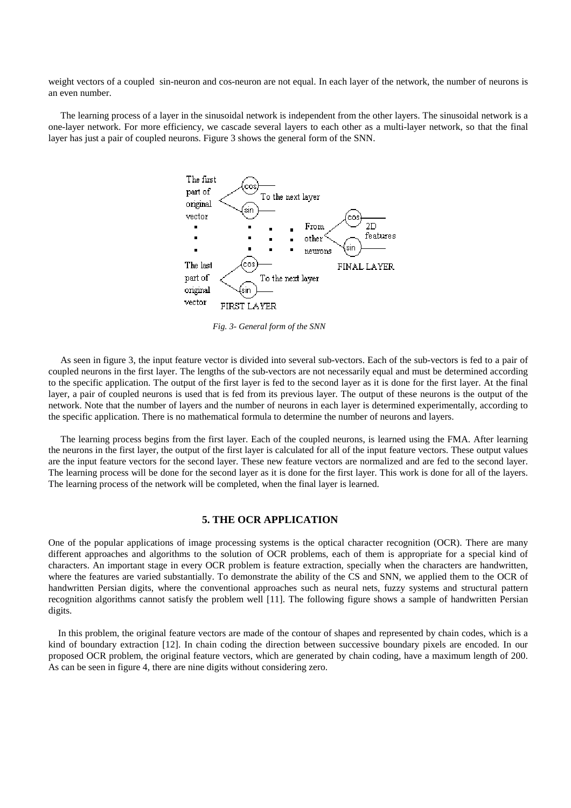weight vectors of a coupled sin-neuron and cos-neuron are not equal. In each layer of the network, the number of neurons is an even number.

 The learning process of a layer in the sinusoidal network is independent from the other layers. The sinusoidal network is a one-layer network. For more efficiency, we cascade several layers to each other as a multi-layer network, so that the final layer has just a pair of coupled neurons. Figure 3 shows the general form of the SNN.



*Fig. 3- General form of the SNN*

 As seen in figure 3, the input feature vector is divided into several sub-vectors. Each of the sub-vectors is fed to a pair of coupled neurons in the first layer. The lengths of the sub-vectors are not necessarily equal and must be determined according to the specific application. The output of the first layer is fed to the second layer as it is done for the first layer. At the final layer, a pair of coupled neurons is used that is fed from its previous layer. The output of these neurons is the output of the network. Note that the number of layers and the number of neurons in each layer is determined experimentally, according to the specific application. There is no mathematical formula to determine the number of neurons and layers.

 The learning process begins from the first layer. Each of the coupled neurons, is learned using the FMA. After learning the neurons in the first layer, the output of the first layer is calculated for all of the input feature vectors. These output values are the input feature vectors for the second layer. These new feature vectors are normalized and are fed to the second layer. The learning process will be done for the second layer as it is done for the first layer. This work is done for all of the layers. The learning process of the network will be completed, when the final layer is learned.

# **5. THE OCR APPLICATION**

One of the popular applications of image processing systems is the optical character recognition (OCR). There are many different approaches and algorithms to the solution of OCR problems, each of them is appropriate for a special kind of characters. An important stage in every OCR problem is feature extraction, specially when the characters are handwritten, where the features are varied substantially. To demonstrate the ability of the CS and SNN, we applied them to the OCR of handwritten Persian digits, where the conventional approaches such as neural nets, fuzzy systems and structural pattern recognition algorithms cannot satisfy the problem well [11]. The following figure shows a sample of handwritten Persian digits.

 In this problem, the original feature vectors are made of the contour of shapes and represented by chain codes, which is a kind of boundary extraction [12]. In chain coding the direction between successive boundary pixels are encoded. In our proposed OCR problem, the original feature vectors, which are generated by chain coding, have a maximum length of 200. As can be seen in figure 4, there are nine digits without considering zero.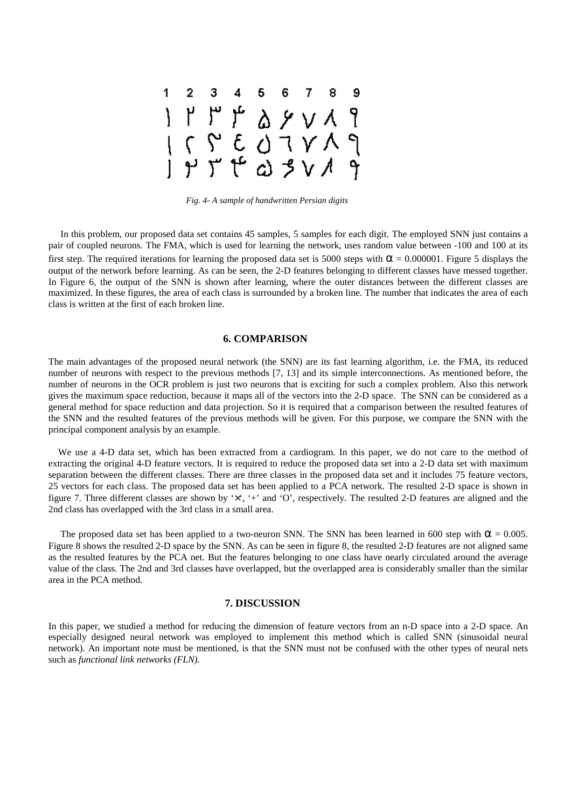

*Fig. 4- A sample of handwritten Persian digits*

 In this problem, our proposed data set contains 45 samples, 5 samples for each digit. The employed SNN just contains a pair of coupled neurons. The FMA, which is used for learning the network, uses random value between -100 and 100 at its first step. The required iterations for learning the proposed data set is 5000 steps with  $\alpha$  = 0.000001. Figure 5 displays the output of the network before learning. As can be seen, the 2-D features belonging to different classes have messed together. In Figure 6, the output of the SNN is shown after learning, where the outer distances between the different classes are maximized. In these figures, the area of each class is surrounded by a broken line. The number that indicates the area of each class is written at the first of each broken line.

#### **6. COMPARISON**

The main advantages of the proposed neural network (the SNN) are its fast learning algorithm, i.e. the FMA, its reduced number of neurons with respect to the previous methods [7, 13] and its simple interconnections. As mentioned before, the number of neurons in the OCR problem is just two neurons that is exciting for such a complex problem. Also this network gives the maximum space reduction, because it maps all of the vectors into the 2-D space. The SNN can be considered as a general method for space reduction and data projection. So it is required that a comparison between the resulted features of the SNN and the resulted features of the previous methods will be given. For this purpose, we compare the SNN with the principal component analysis by an example.

We use a 4-D data set, which has been extracted from a cardiogram. In this paper, we do not care to the method of extracting the original 4-D feature vectors. It is required to reduce the proposed data set into a 2-D data set with maximum separation between the different classes. There are three classes in the proposed data set and it includes 75 feature vectors, 25 vectors for each class. The proposed data set has been applied to a PCA network. The resulted 2-D space is shown in figure 7. Three different classes are shown by ' $\times$ ', '+' and 'O', respectively. The resulted 2-D features are aligned and the 2nd class has overlapped with the 3rd class in a small area.

The proposed data set has been applied to a two-neuron SNN. The SNN has been learned in 600 step with  $\alpha$  = 0.005. Figure 8 shows the resulted 2-D space by the SNN. As can be seen in figure 8, the resulted 2-D features are not aligned same as the resulted features by the PCA net. But the features belonging to one class have nearly circulated around the average value of the class. The 2nd and 3rd classes have overlapped, but the overlapped area is considerably smaller than the similar area in the PCA method.

## **7. DISCUSSION**

In this paper, we studied a method for reducing the dimension of feature vectors from an n-D space into a 2-D space. An especially designed neural network was employed to implement this method which is called SNN (sinusoidal neural network). An important note must be mentioned, is that the SNN must not be confused with the other types of neural nets such as *functional link networks (FLN).*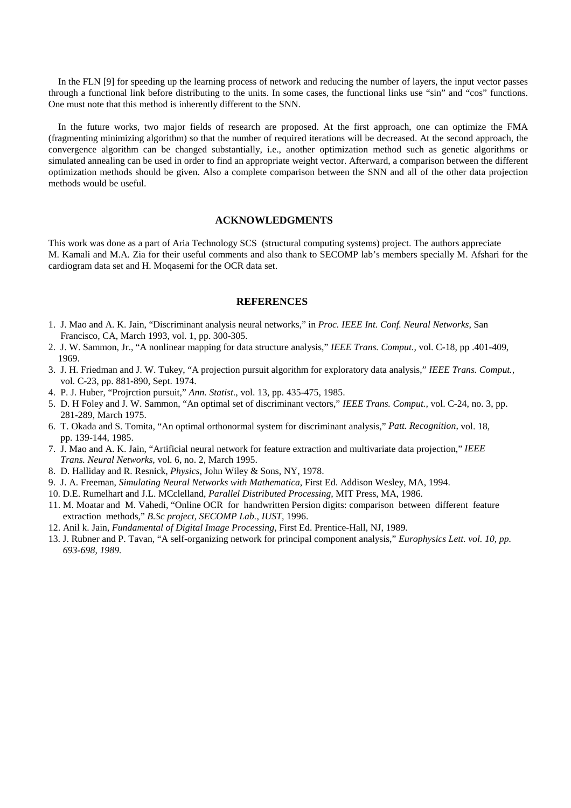In the FLN [9] for speeding up the learning process of network and reducing the number of layers, the input vector passes through a functional link before distributing to the units. In some cases, the functional links use "sin" and "cos" functions. One must note that this method is inherently different to the SNN.

 In the future works, two major fields of research are proposed. At the first approach, one can optimize the FMA (fragmenting minimizing algorithm) so that the number of required iterations will be decreased. At the second approach, the convergence algorithm can be changed substantially, i.e., another optimization method such as genetic algorithms or simulated annealing can be used in order to find an appropriate weight vector. Afterward, a comparison between the different optimization methods should be given. Also a complete comparison between the SNN and all of the other data projection methods would be useful.

### **ACKNOWLEDGMENTS**

This work was done as a part of Aria Technology SCS (structural computing systems) project. The authors appreciate M. Kamali and M.A. Zia for their useful comments and also thank to SECOMP lab's members specially M. Afshari for the cardiogram data set and H. Moqasemi for the OCR data set.

### **REFERENCES**

- 1. J. Mao and A. K. Jain, "Discriminant analysis neural networks," in *Proc. IEEE Int. Conf. Neural Networks,* San Francisco, CA, March 1993, vol. 1, pp. 300-305.
- 2. J. W. Sammon, Jr., "A nonlinear mapping for data structure analysis," *IEEE Trans. Comput.,* vol. C-18, pp .401-409, 1969.
- 3. J. H. Friedman and J. W. Tukey, "A projection pursuit algorithm for exploratory data analysis," *IEEE Trans. Comput.,* vol. C-23, pp. 881-890, Sept. 1974.
- 4. P. J. Huber, "Projrction pursuit," *Ann. Statist*., vol. 13, pp. 435-475, 1985.
- 5. D. H Foley and J. W. Sammon, "An optimal set of discriminant vectors," *IEEE Trans. Comput.,* vol. C-24, no. 3, pp. 281-289, March 1975.
- 6. T. Okada and S. Tomita, "An optimal orthonormal system for discriminant analysis," *Patt. Recognition,* vol. 18, pp. 139-144, 1985.
- 7. J. Mao and A. K. Jain, "Artificial neural network for feature extraction and multivariate data projection," *IEEE Trans. Neural Networks,* vol. 6, no. 2, March 1995.
- 8. D. Halliday and R. Resnick, *Physics*, John Wiley & Sons, NY, 1978.
- 9. J. A. Freeman, *Simulating Neural Networks with Mathematica*, First Ed. Addison Wesley, MA, 1994.
- 10. D.E. Rumelhart and J.L. MCclelland, *Parallel Distributed Processing,* MIT Press, MA, 1986.
- 11. M. Moatar and M. Vahedi, "Online OCR for handwritten Persion digits: comparison between different feature extraction methods," *B.Sc project, SECOMP Lab., IUST,* 1996.
- 12. Anil k. Jain, *Fundamental of Digital Image Processing,* First Ed. Prentice-Hall, NJ, 1989.
- 13. J. Rubner and P. Tavan, "A self-organizing network for principal component analysis," *Europhysics Lett. vol. 10, pp. 693-698, 1989.*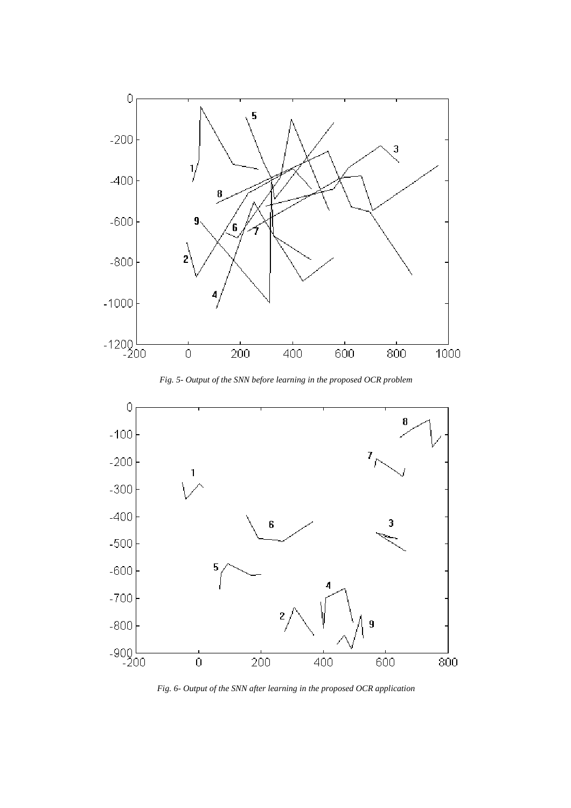

*Fig. 5- Output of the SNN before learning in the proposed OCR problem*



*Fig. 6- Output of the SNN after learning in the proposed OCR application*